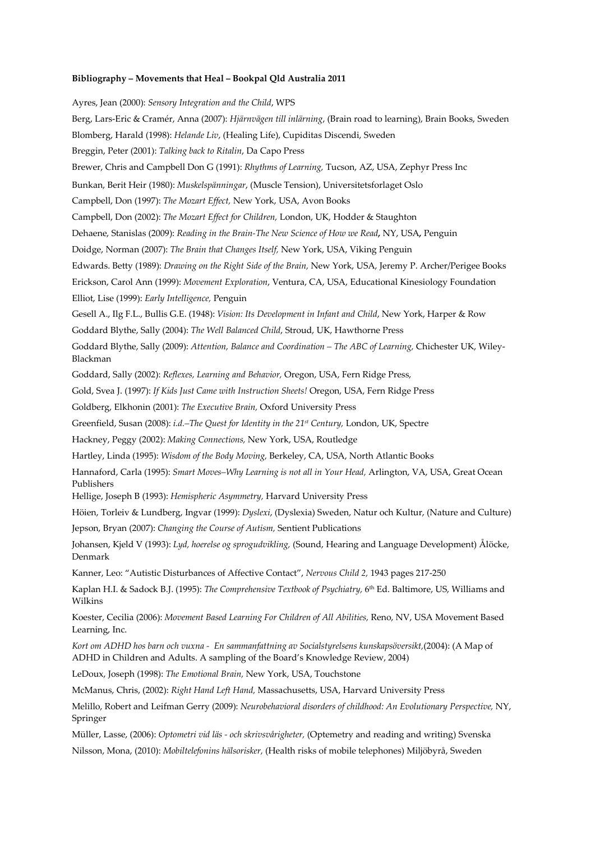## **Bibliography – Movements that Heal – Bookpal Qld Australia 2011**

Ayres, Jean (2000): *Sensory Integration and the Child*, WPS Berg, Lars-Eric & Cramér, Anna (2007): *Hjärnvägen till inlärning*, (Brain road to learning), Brain Books, Sweden Blomberg, Harald (1998): *Helande Liv*, (Healing Life), Cupiditas Discendi, Sweden Breggin, Peter (2001): *Talking back to Ritalin*, Da Capo Press Brewer, Chris and Campbell Don G (1991): *Rhythms of Learning,* Tucson, AZ, USA, Zephyr Press Inc Bunkan, Berit Heir (1980): *Muskelspänningar*, (Muscle Tension), Universitetsforlaget Oslo Campbell, Don (1997): *The Mozart Effect,* New York, USA, Avon Books Campbell, Don (2002): *The Mozart Effect for Children,* London, UK, Hodder & Staughton Dehaene, Stanislas (2009): *Reading in the Brain-The New Science of How we Read,* NY, USA*,* Penguin Doidge, Norman (2007): *The Brain that Changes Itself,* New York, USA, Viking Penguin Edwards. Betty (1989): *Drawing on the Right Side of the Brain,* New York, USA, Jeremy P. Archer/Perigee Books Erickson, Carol Ann (1999): *Movement Exploration*, Ventura, CA, USA, Educational Kinesiology Foundation Elliot, Lise (1999): *Early Intelligence,* Penguin Gesell A., Ilg F.L., Bullis G.E. (1948): *Vision: Its Development in Infant and Child*, New York, Harper & Row Goddard Blythe, Sally (2004): *The Well Balanced Child*, Stroud, UK, Hawthorne Press Goddard Blythe, Sally (2009): *Attention, Balance and Coordination – The ABC of Learning,* Chichester UK, Wiley-Blackman Goddard, Sally (2002): *Reflexes, Learning and Behavior,* Oregon, USA, Fern Ridge Press, Gold, Svea J. (1997): *If Kids Just Came with Instruction Sheets!* Oregon, USA, Fern Ridge Press Goldberg, Elkhonin (2001): *The Executive Brain,* Oxford University Press Greenfield, Susan (2008): *i.d.–The Quest for Identity in the 21st Century,* London, UK, Spectre Hackney, Peggy (2002): *Making Connections,* New York, USA, Routledge Hartley, Linda (1995): *Wisdom of the Body Moving,* Berkeley, CA, USA, North Atlantic Books Hannaford, Carla (1995): *Smart Moves–Why Learning is not all in Your Head,* Arlington, VA, USA, Great Ocean Publishers Hellige, Joseph B (1993): *Hemispheric Asymmetry,* Harvard University Press Höien, Torleiv & Lundberg, Ingvar (1999): *Dyslexi*, (Dyslexia) Sweden, Natur och Kultur, (Nature and Culture) Jepson, Bryan (2007): *Changing the Course of Autism,* Sentient Publications Johansen, Kjeld V (1993): *Lyd, hoerelse og sprogudvikling,* (Sound, Hearing and Language Development) Ålöcke, Denmark Kanner, Leo: "Autistic Disturbances of Affective Contact", *Nervous Child 2,* 1943 pages 217-250 Kaplan H.I. & Sadock B.J. (1995): *The Comprehensive Textbook of Psychiatry*, 6<sup>th</sup> Ed. Baltimore, US, Williams and Wilkins Koester, Cecilia (2006): *Movement Based Learning For Children of All Abilities,* Reno, NV, USA Movement Based Learning, Inc. *Kort om ADHD hos barn och vuxna - En sammanfattning av Socialstyrelsens kunskapsöversikt,*(2004): (A Map of ADHD in Children and Adults. A sampling of the Board's Knowledge Review, 2004) LeDoux, Joseph (1998): *The Emotional Brain,* New York, USA, Touchstone McManus, Chris, (2002): *Right Hand Left Hand,* Massachusetts, USA, Harvard University Press Melillo, Robert and Leifman Gerry (2009): *Neurobehavioral disorders of childhood: An Evolutionary Perspective,* NY, Springer

Müller, Lasse, (2006): *Optometri vid läs - och skrivsvårigheter,* (Optemetry and reading and writing) Svenska

Nilsson, Mona, (2010): *Mobiltelefonins hälsorisker,* (Health risks of mobile telephones) Miljöbyrå, Sweden